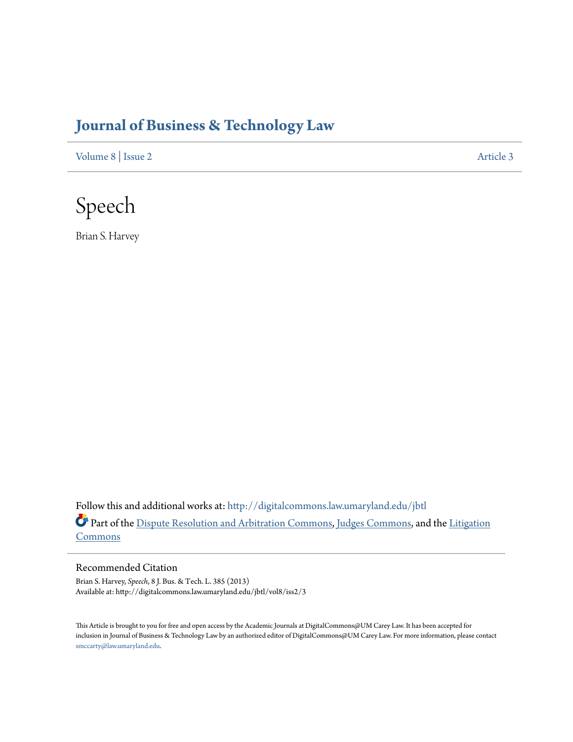# **[Journal of Business & Technology Law](http://digitalcommons.law.umaryland.edu/jbtl?utm_source=digitalcommons.law.umaryland.edu%2Fjbtl%2Fvol8%2Fiss2%2F3&utm_medium=PDF&utm_campaign=PDFCoverPages)**

[Volume 8](http://digitalcommons.law.umaryland.edu/jbtl/vol8?utm_source=digitalcommons.law.umaryland.edu%2Fjbtl%2Fvol8%2Fiss2%2F3&utm_medium=PDF&utm_campaign=PDFCoverPages) | [Issue 2](http://digitalcommons.law.umaryland.edu/jbtl/vol8/iss2?utm_source=digitalcommons.law.umaryland.edu%2Fjbtl%2Fvol8%2Fiss2%2F3&utm_medium=PDF&utm_campaign=PDFCoverPages) [Article 3](http://digitalcommons.law.umaryland.edu/jbtl/vol8/iss2/3?utm_source=digitalcommons.law.umaryland.edu%2Fjbtl%2Fvol8%2Fiss2%2F3&utm_medium=PDF&utm_campaign=PDFCoverPages)



Brian S. Harvey

Follow this and additional works at: [http://digitalcommons.law.umaryland.edu/jbtl](http://digitalcommons.law.umaryland.edu/jbtl?utm_source=digitalcommons.law.umaryland.edu%2Fjbtl%2Fvol8%2Fiss2%2F3&utm_medium=PDF&utm_campaign=PDFCoverPages) Part of the [Dispute Resolution and Arbitration Commons](http://network.bepress.com/hgg/discipline/890?utm_source=digitalcommons.law.umaryland.edu%2Fjbtl%2Fvol8%2Fiss2%2F3&utm_medium=PDF&utm_campaign=PDFCoverPages), [Judges Commons,](http://network.bepress.com/hgg/discipline/849?utm_source=digitalcommons.law.umaryland.edu%2Fjbtl%2Fvol8%2Fiss2%2F3&utm_medium=PDF&utm_campaign=PDFCoverPages) and the [Litigation](http://network.bepress.com/hgg/discipline/910?utm_source=digitalcommons.law.umaryland.edu%2Fjbtl%2Fvol8%2Fiss2%2F3&utm_medium=PDF&utm_campaign=PDFCoverPages) **[Commons](http://network.bepress.com/hgg/discipline/910?utm_source=digitalcommons.law.umaryland.edu%2Fjbtl%2Fvol8%2Fiss2%2F3&utm_medium=PDF&utm_campaign=PDFCoverPages)** 

Recommended Citation

Brian S. Harvey, *Speech*, 8 J. Bus. & Tech. L. 385 (2013) Available at: http://digitalcommons.law.umaryland.edu/jbtl/vol8/iss2/3

This Article is brought to you for free and open access by the Academic Journals at DigitalCommons@UM Carey Law. It has been accepted for inclusion in Journal of Business & Technology Law by an authorized editor of DigitalCommons@UM Carey Law. For more information, please contact [smccarty@law.umaryland.edu.](mailto:smccarty@law.umaryland.edu)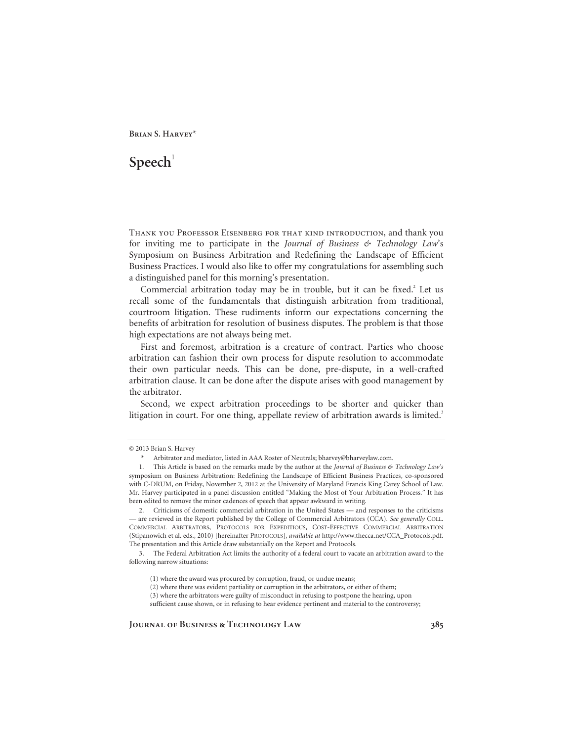# $Speech<sup>1</sup>$

Thank you Professor Eisenberg for that kind introduction, and thank you for inviting me to participate in the *Journal of Business & Technology Law*'s Symposium on Business Arbitration and Redefining the Landscape of Efficient Business Practices. I would also like to offer my congratulations for assembling such a distinguished panel for this morning's presentation.

Commercial arbitration today may be in trouble, but it can be fixed.<sup>2</sup> Let us recall some of the fundamentals that distinguish arbitration from traditional, courtroom litigation. These rudiments inform our expectations concerning the benefits of arbitration for resolution of business disputes. The problem is that those high expectations are not always being met.

First and foremost, arbitration is a creature of contract. Parties who choose arbitration can fashion their own process for dispute resolution to accommodate their own particular needs. This can be done, pre-dispute, in a well-crafted arbitration clause. It can be done after the dispute arises with good management by the arbitrator.

Second, we expect arbitration proceedings to be shorter and quicker than litigation in court. For one thing, appellate review of arbitration awards is limited.<sup>3</sup>

sufficient cause shown, or in refusing to hear evidence pertinent and material to the controversy;

<sup>© 2013</sup> Brian S. Harvey

 <sup>\*</sup> Arbitrator and mediator, listed in AAA Roster of Neutrals; bharvey@bharveylaw.com.

 <sup>1.</sup> This Article is based on the remarks made by the author at the *Journal of Business & Technology Law's*  symposium on Business Arbitration: Redefining the Landscape of Efficient Business Practices, co-sponsored with C-DRUM, on Friday, November 2, 2012 at the University of Maryland Francis King Carey School of Law. Mr. Harvey participated in a panel discussion entitled "Making the Most of Your Arbitration Process." It has been edited to remove the minor cadences of speech that appear awkward in writing.

 <sup>2.</sup> Criticisms of domestic commercial arbitration in the United States — and responses to the criticisms — are reviewed in the Report published by the College of Commercial Arbitrators (CCA). *See generally* COLL. COMMERCIAL ARBITRATORS, PROTOCOLS FOR EXPEDITIOUS, COST-EFFECTIVE COMMERCIAL ARBITRATION (Stipanowich et al. eds., 2010) [hereinafter PROTOCOLS], *available at* http://www.thecca.net/CCA\_Protocols.pdf. The presentation and this Article draw substantially on the Report and Protocols.

 <sup>3.</sup> The Federal Arbitration Act limits the authority of a federal court to vacate an arbitration award to the following narrow situations:

<sup>(1)</sup> where the award was procured by corruption, fraud, or undue means;

<sup>(2)</sup> where there was evident partiality or corruption in the arbitrators, or either of them;

<sup>(3)</sup> where the arbitrators were guilty of misconduct in refusing to postpone the hearing, upon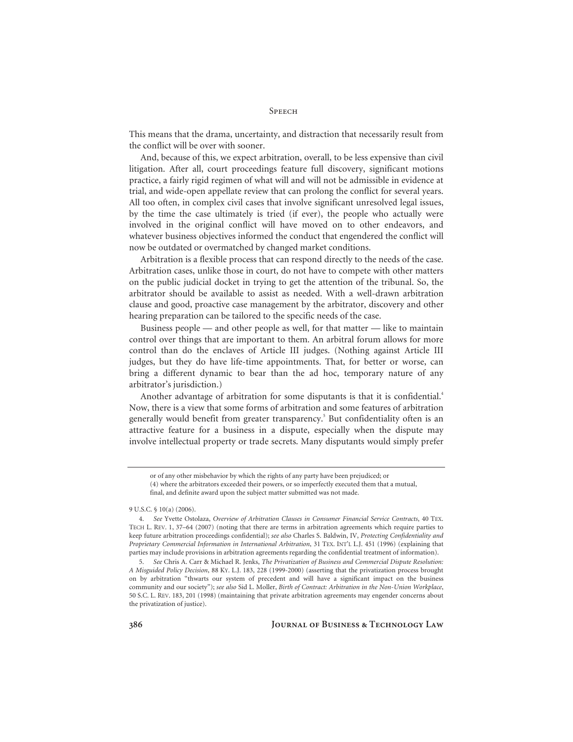This means that the drama, uncertainty, and distraction that necessarily result from the conflict will be over with sooner.

And, because of this, we expect arbitration, overall, to be less expensive than civil litigation. After all, court proceedings feature full discovery, significant motions practice, a fairly rigid regimen of what will and will not be admissible in evidence at trial, and wide-open appellate review that can prolong the conflict for several years. All too often, in complex civil cases that involve significant unresolved legal issues, by the time the case ultimately is tried (if ever), the people who actually were involved in the original conflict will have moved on to other endeavors, and whatever business objectives informed the conduct that engendered the conflict will now be outdated or overmatched by changed market conditions.

Arbitration is a flexible process that can respond directly to the needs of the case. Arbitration cases, unlike those in court, do not have to compete with other matters on the public judicial docket in trying to get the attention of the tribunal. So, the arbitrator should be available to assist as needed. With a well-drawn arbitration clause and good, proactive case management by the arbitrator, discovery and other hearing preparation can be tailored to the specific needs of the case.

Business people — and other people as well, for that matter — like to maintain control over things that are important to them. An arbitral forum allows for more control than do the enclaves of Article III judges. (Nothing against Article III judges, but they do have life-time appointments. That, for better or worse, can bring a different dynamic to bear than the ad hoc, temporary nature of any arbitrator's jurisdiction.)

Another advantage of arbitration for some disputants is that it is confidential.<sup>4</sup> Now, there is a view that some forms of arbitration and some features of arbitration generally would benefit from greater transparency.<sup>5</sup> But confidentiality often is an attractive feature for a business in a dispute, especially when the dispute may involve intellectual property or trade secrets. Many disputants would simply prefer

or of any other misbehavior by which the rights of any party have been prejudiced; or (4) where the arbitrators exceeded their powers, or so imperfectly executed them that a mutual, final, and definite award upon the subject matter submitted was not made.

<sup>9</sup> U.S.C. § 10(a) (2006).

 <sup>4.</sup> *See* Yvette Ostolaza, *Overview of Arbitration Clauses in Consumer Financial Service Contracts*, 40 TEX. TECH L. REV. 1, 37–64 (2007) (noting that there are terms in arbitration agreements which require parties to keep future arbitration proceedings confidential); *see also* Charles S. Baldwin, IV, *Protecting Confidentiality and Proprietary Commercial Information in International Arbitration*, 31 TEX. INT'L L.J. 451 (1996) (explaining that parties may include provisions in arbitration agreements regarding the confidential treatment of information).

 <sup>5.</sup> *See* Chris A. Carr & Michael R. Jenks, *The Privatization of Business and Commercial Dispute Resolution: A Misguided Policy Decision*, 88 KY. L.J. 183, 228 (1999-2000) (asserting that the privatization process brought on by arbitration "thwarts our system of precedent and will have a significant impact on the business community and our society"); *see also* Sid L. Moller, *Birth of Contract: Arbitration in the Non-Union Workplace*, 50 S.C. L. REV. 183, 201 (1998) (maintaining that private arbitration agreements may engender concerns about the privatization of justice).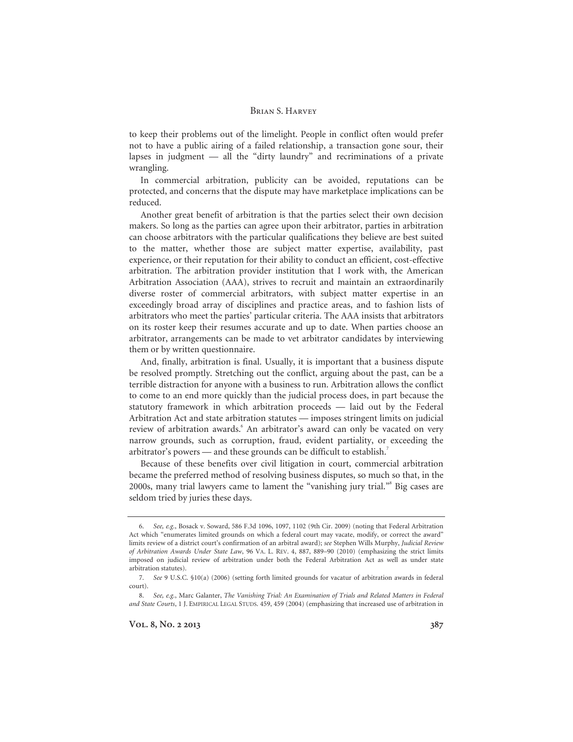to keep their problems out of the limelight. People in conflict often would prefer not to have a public airing of a failed relationship, a transaction gone sour, their lapses in judgment — all the "dirty laundry" and recriminations of a private wrangling.

In commercial arbitration, publicity can be avoided, reputations can be protected, and concerns that the dispute may have marketplace implications can be reduced.

Another great benefit of arbitration is that the parties select their own decision makers. So long as the parties can agree upon their arbitrator, parties in arbitration can choose arbitrators with the particular qualifications they believe are best suited to the matter, whether those are subject matter expertise, availability, past experience, or their reputation for their ability to conduct an efficient, cost-effective arbitration. The arbitration provider institution that I work with, the American Arbitration Association (AAA), strives to recruit and maintain an extraordinarily diverse roster of commercial arbitrators, with subject matter expertise in an exceedingly broad array of disciplines and practice areas, and to fashion lists of arbitrators who meet the parties' particular criteria. The AAA insists that arbitrators on its roster keep their resumes accurate and up to date. When parties choose an arbitrator, arrangements can be made to vet arbitrator candidates by interviewing them or by written questionnaire.

And, finally, arbitration is final. Usually, it is important that a business dispute be resolved promptly. Stretching out the conflict, arguing about the past, can be a terrible distraction for anyone with a business to run. Arbitration allows the conflict to come to an end more quickly than the judicial process does, in part because the statutory framework in which arbitration proceeds — laid out by the Federal Arbitration Act and state arbitration statutes — imposes stringent limits on judicial review of arbitration awards. An arbitrator's award can only be vacated on very narrow grounds, such as corruption, fraud, evident partiality, or exceeding the arbitrator's powers — and these grounds can be difficult to establish.<sup>7</sup>

Because of these benefits over civil litigation in court, commercial arbitration became the preferred method of resolving business disputes, so much so that, in the 2000s, many trial lawyers came to lament the "vanishing jury trial."<sup>8</sup> Big cases are seldom tried by juries these days.

 <sup>6.</sup> *See, e.g.*, Bosack v. Soward, 586 F.3d 1096, 1097, 1102 (9th Cir. 2009) (noting that Federal Arbitration Act which "enumerates limited grounds on which a federal court may vacate, modify, or correct the award" limits review of a district court's confirmation of an arbitral award); *see* Stephen Wills Murphy, *Judicial Review of Arbitration Awards Under State Law*, 96 VA. L. REV. 4, 887, 889–90 (2010) (emphasizing the strict limits imposed on judicial review of arbitration under both the Federal Arbitration Act as well as under state arbitration statutes).

 <sup>7.</sup> *See* 9 U.S.C. §10(a) (2006) (setting forth limited grounds for vacatur of arbitration awards in federal court).

 <sup>8.</sup> *See, e.g.*, Marc Galanter, *The Vanishing Trial: An Examination of Trials and Related Matters in Federal and State Courts*, 1 J. EMPIRICAL LEGAL STUDS. 459, 459 (2004) (emphasizing that increased use of arbitration in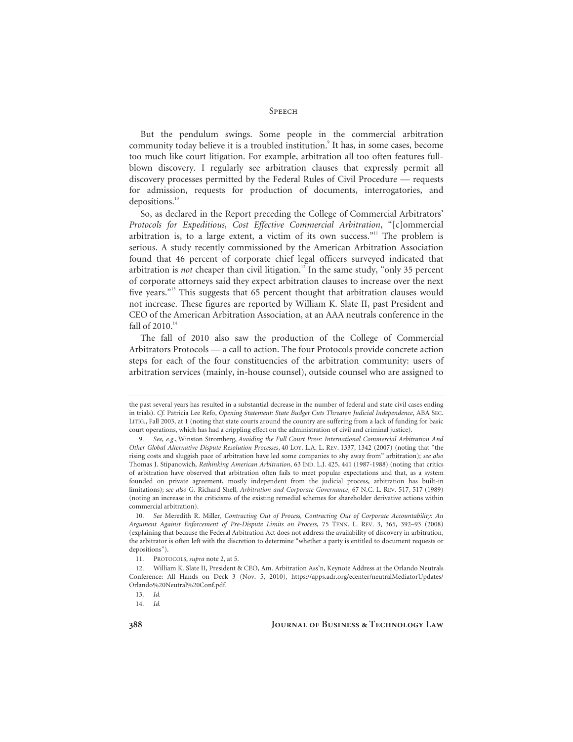But the pendulum swings. Some people in the commercial arbitration community today believe it is a troubled institution.<sup>9</sup> It has, in some cases, become too much like court litigation. For example, arbitration all too often features fullblown discovery. I regularly see arbitration clauses that expressly permit all discovery processes permitted by the Federal Rules of Civil Procedure — requests for admission, requests for production of documents, interrogatories, and depositions.<sup>10</sup>

So, as declared in the Report preceding the College of Commercial Arbitrators' *Protocols for Expeditious, Cost Effective Commercial Arbitration*, "[c]ommercial arbitration is, to a large extent, a victim of its own success."<sup>11</sup> The problem is serious. A study recently commissioned by the American Arbitration Association found that 46 percent of corporate chief legal officers surveyed indicated that arbitration is *not* cheaper than civil litigation.<sup>12</sup> In the same study, "only 35 percent of corporate attorneys said they expect arbitration clauses to increase over the next five years."13 This suggests that 65 percent thought that arbitration clauses would not increase. These figures are reported by William K. Slate II, past President and CEO of the American Arbitration Association, at an AAA neutrals conference in the fall of 2010.<sup>14</sup>

The fall of 2010 also saw the production of the College of Commercial Arbitrators Protocols — a call to action. The four Protocols provide concrete action steps for each of the four constituencies of the arbitration community: users of arbitration services (mainly, in-house counsel), outside counsel who are assigned to

the past several years has resulted in a substantial decrease in the number of federal and state civil cases ending in trials). *Cf.* Patricia Lee Refo, *Opening Statement: State Budget Cuts Threaten Judicial Independence*, ABA SEC. LITIG., Fall 2003, at 1 (noting that state courts around the country are suffering from a lack of funding for basic court operations, which has had a crippling effect on the administration of civil and criminal justice).

 <sup>9.</sup> *See, e.g.*, Winston Stromberg, *Avoiding the Full Court Press: International Commercial Arbitration And Other Global Alternative Dispute Resolution Processes*, 40 LOY. L.A. L. REV. 1337, 1342 (2007) (noting that "the rising costs and sluggish pace of arbitration have led some companies to shy away from" arbitration); *see also*  Thomas J. Stipanowich, *Rethinking American Arbitration*, 63 IND. L.J. 425, 441 (1987-1988) (noting that critics of arbitration have observed that arbitration often fails to meet popular expectations and that, as a system founded on private agreement, mostly independent from the judicial process, arbitration has built-in limitations); *see also* G. Richard Shell, *Arbitration and Corporate Governance*, 67 N.C. L. REV. 517, 517 (1989) (noting an increase in the criticisms of the existing remedial schemes for shareholder derivative actions within commercial arbitration).

 <sup>10.</sup> *See* Meredith R. Miller, *Contracting Out of Process, Contracting Out of Corporate Accountability: An Argument Against Enforcement of Pre-Dispute Limits on Process*, 75 TENN. L. REV. 3, 365, 392–93 (2008) (explaining that because the Federal Arbitration Act does not address the availability of discovery in arbitration, the arbitrator is often left with the discretion to determine "whether a party is entitled to document requests or depositions").

 <sup>11.</sup> PROTOCOLS, *supra* note 2, at 5.

 <sup>12.</sup> William K. Slate II, President & CEO, Am. Arbitration Ass'n, Keynote Address at the Orlando Neutrals Conference: All Hands on Deck 3 (Nov. 5, 2010), https://apps.adr.org/ecenter/neutralMediatorUpdates/ Orlando%20Neutral%20Conf.pdf.

 <sup>13.</sup> *Id.*

 <sup>14.</sup> *Id.*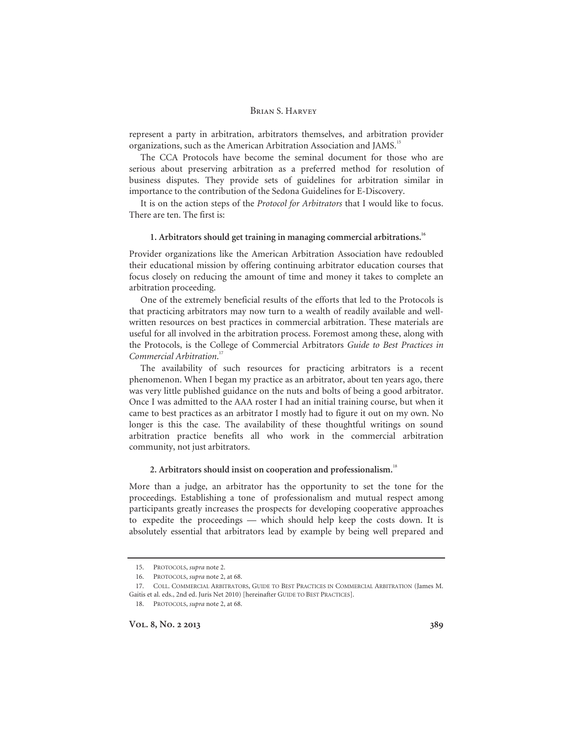represent a party in arbitration, arbitrators themselves, and arbitration provider organizations, such as the American Arbitration Association and JAMS.<sup>15</sup>

The CCA Protocols have become the seminal document for those who are serious about preserving arbitration as a preferred method for resolution of business disputes. They provide sets of guidelines for arbitration similar in importance to the contribution of the Sedona Guidelines for E-Discovery.

It is on the action steps of the *Protocol for Arbitrators* that I would like to focus. There are ten. The first is:

## **1. Arbitrators should get training in managing commercial arbitrations.16**

Provider organizations like the American Arbitration Association have redoubled their educational mission by offering continuing arbitrator education courses that focus closely on reducing the amount of time and money it takes to complete an arbitration proceeding.

One of the extremely beneficial results of the efforts that led to the Protocols is that practicing arbitrators may now turn to a wealth of readily available and wellwritten resources on best practices in commercial arbitration. These materials are useful for all involved in the arbitration process. Foremost among these, along with the Protocols, is the College of Commercial Arbitrators *Guide to Best Practices in Commercial Arbitration*. 17

The availability of such resources for practicing arbitrators is a recent phenomenon. When I began my practice as an arbitrator, about ten years ago, there was very little published guidance on the nuts and bolts of being a good arbitrator. Once I was admitted to the AAA roster I had an initial training course, but when it came to best practices as an arbitrator I mostly had to figure it out on my own. No longer is this the case. The availability of these thoughtful writings on sound arbitration practice benefits all who work in the commercial arbitration community, not just arbitrators.

## **2. Arbitrators should insist on cooperation and professionalism.**<sup>18</sup>

More than a judge, an arbitrator has the opportunity to set the tone for the proceedings. Establishing a tone of professionalism and mutual respect among participants greatly increases the prospects for developing cooperative approaches to expedite the proceedings — which should help keep the costs down. It is absolutely essential that arbitrators lead by example by being well prepared and

 <sup>15.</sup> PROTOCOLS, *supra* note 2.

 <sup>16.</sup> PROTOCOLS, *supra* note 2, at 68.

 <sup>17.</sup> COLL. COMMERCIAL ARBITRATORS, GUIDE TO BEST PRACTICES IN COMMERCIAL ARBITRATION (James M. Gaitis et al. eds., 2nd ed. Juris Net 2010) [hereinafter GUIDE TO BEST PRACTICES].

 <sup>18.</sup> PROTOCOLS, *supra* note 2, at 68.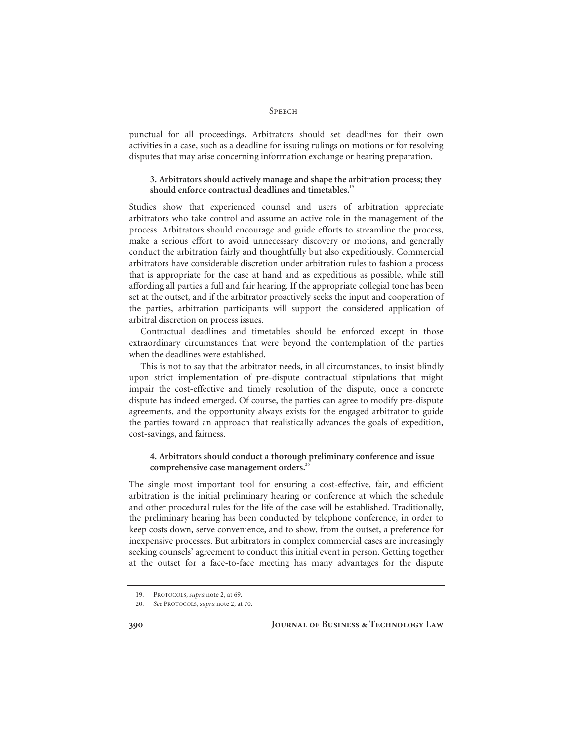punctual for all proceedings. Arbitrators should set deadlines for their own activities in a case, such as a deadline for issuing rulings on motions or for resolving disputes that may arise concerning information exchange or hearing preparation.

# **3. Arbitrators should actively manage and shape the arbitration process; they should enforce contractual deadlines and timetables.**<sup>19</sup>

Studies show that experienced counsel and users of arbitration appreciate arbitrators who take control and assume an active role in the management of the process. Arbitrators should encourage and guide efforts to streamline the process, make a serious effort to avoid unnecessary discovery or motions, and generally conduct the arbitration fairly and thoughtfully but also expeditiously. Commercial arbitrators have considerable discretion under arbitration rules to fashion a process that is appropriate for the case at hand and as expeditious as possible, while still affording all parties a full and fair hearing. If the appropriate collegial tone has been set at the outset, and if the arbitrator proactively seeks the input and cooperation of the parties, arbitration participants will support the considered application of arbitral discretion on process issues.

Contractual deadlines and timetables should be enforced except in those extraordinary circumstances that were beyond the contemplation of the parties when the deadlines were established.

This is not to say that the arbitrator needs, in all circumstances, to insist blindly upon strict implementation of pre-dispute contractual stipulations that might impair the cost-effective and timely resolution of the dispute, once a concrete dispute has indeed emerged. Of course, the parties can agree to modify pre-dispute agreements, and the opportunity always exists for the engaged arbitrator to guide the parties toward an approach that realistically advances the goals of expedition, cost-savings, and fairness.

# **4. Arbitrators should conduct a thorough preliminary conference and issue comprehensive case management orders.**<sup>20</sup>

The single most important tool for ensuring a cost-effective, fair, and efficient arbitration is the initial preliminary hearing or conference at which the schedule and other procedural rules for the life of the case will be established. Traditionally, the preliminary hearing has been conducted by telephone conference, in order to keep costs down, serve convenience, and to show, from the outset, a preference for inexpensive processes. But arbitrators in complex commercial cases are increasingly seeking counsels' agreement to conduct this initial event in person. Getting together at the outset for a face-to-face meeting has many advantages for the dispute

 <sup>19.</sup> PROTOCOLS, *supra* note 2, at 69.

 <sup>20.</sup> *See* PROTOCOLS, *supra* note 2, at 70.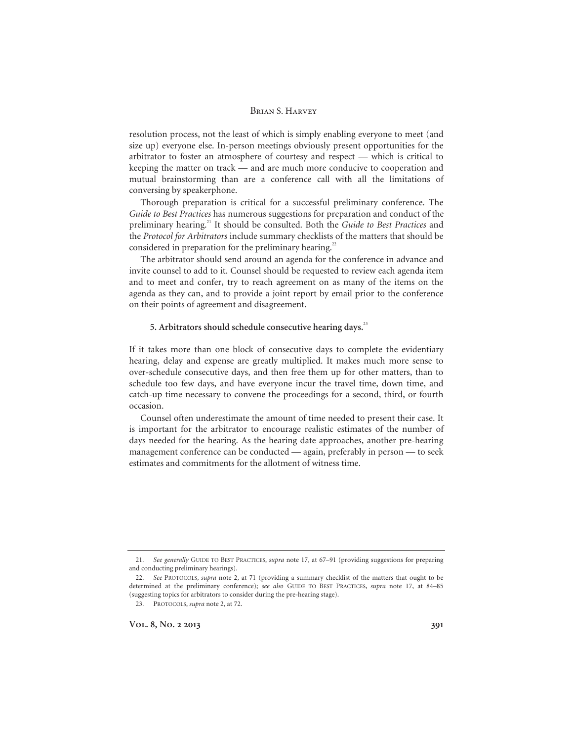resolution process, not the least of which is simply enabling everyone to meet (and size up) everyone else. In-person meetings obviously present opportunities for the arbitrator to foster an atmosphere of courtesy and respect — which is critical to keeping the matter on track — and are much more conducive to cooperation and mutual brainstorming than are a conference call with all the limitations of conversing by speakerphone.

Thorough preparation is critical for a successful preliminary conference. The *Guide to Best Practices* has numerous suggestions for preparation and conduct of the preliminary hearing.21 It should be consulted. Both the *Guide to Best Practices* and the *Protocol for Arbitrators* include summary checklists of the matters that should be considered in preparation for the preliminary hearing.<sup>22</sup>

The arbitrator should send around an agenda for the conference in advance and invite counsel to add to it. Counsel should be requested to review each agenda item and to meet and confer, try to reach agreement on as many of the items on the agenda as they can, and to provide a joint report by email prior to the conference on their points of agreement and disagreement.

# **5. Arbitrators should schedule consecutive hearing days.**<sup>23</sup>

If it takes more than one block of consecutive days to complete the evidentiary hearing, delay and expense are greatly multiplied. It makes much more sense to over-schedule consecutive days, and then free them up for other matters, than to schedule too few days, and have everyone incur the travel time, down time, and catch-up time necessary to convene the proceedings for a second, third, or fourth occasion.

Counsel often underestimate the amount of time needed to present their case. It is important for the arbitrator to encourage realistic estimates of the number of days needed for the hearing. As the hearing date approaches, another pre-hearing management conference can be conducted — again, preferably in person — to seek estimates and commitments for the allotment of witness time.

 <sup>21.</sup> *See generally* GUIDE TO BEST PRACTICES, *supra* note 17, at 67–91 (providing suggestions for preparing and conducting preliminary hearings).

 <sup>22.</sup> *See* PROTOCOLS, *supra* note 2, at 71 (providing a summary checklist of the matters that ought to be determined at the preliminary conference); *see also* GUIDE TO BEST PRACTICES, *supra* note 17, at 84–85 (suggesting topics for arbitrators to consider during the pre-hearing stage).

 <sup>23.</sup> PROTOCOLS, *supra* note 2, at 72.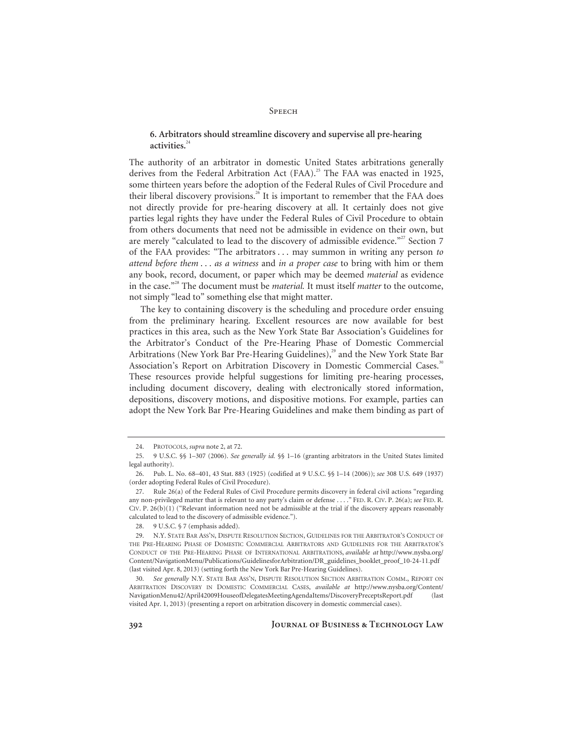# **6. Arbitrators should streamline discovery and supervise all pre-hearing activities.**<sup>24</sup>

The authority of an arbitrator in domestic United States arbitrations generally derives from the Federal Arbitration Act (FAA).<sup>25</sup> The FAA was enacted in 1925, some thirteen years before the adoption of the Federal Rules of Civil Procedure and their liberal discovery provisions.<sup>26</sup> It is important to remember that the FAA does not directly provide for pre-hearing discovery at all. It certainly does not give parties legal rights they have under the Federal Rules of Civil Procedure to obtain from others documents that need not be admissible in evidence on their own, but are merely "calculated to lead to the discovery of admissible evidence."<sup>27</sup> Section 7 of the FAA provides: "The arbitrators . . . may summon in writing any person *to attend before them* . . . *as a witness* and *in a proper case* to bring with him or them any book, record, document, or paper which may be deemed *material* as evidence in the case."28 The document must be *material.* It must itself *matter* to the outcome, not simply "lead to" something else that might matter.

The key to containing discovery is the scheduling and procedure order ensuing from the preliminary hearing. Excellent resources are now available for best practices in this area, such as the New York State Bar Association's Guidelines for the Arbitrator's Conduct of the Pre-Hearing Phase of Domestic Commercial Arbitrations (New York Bar Pre-Hearing Guidelines),<sup>29</sup> and the New York State Bar Association's Report on Arbitration Discovery in Domestic Commercial Cases.<sup>30</sup> These resources provide helpful suggestions for limiting pre-hearing processes, including document discovery, dealing with electronically stored information, depositions, discovery motions, and dispositive motions. For example, parties can adopt the New York Bar Pre-Hearing Guidelines and make them binding as part of

 <sup>24.</sup> PROTOCOLS, *supra* note 2, at 72.

 <sup>25. 9</sup> U.S.C. §§ 1–307 (2006). *See generally id.* §§ 1–16 (granting arbitrators in the United States limited legal authority).

 <sup>26.</sup> Pub. L. No. 68–401, 43 Stat. 883 (1925) (codified at 9 U.S.C. §§ 1–14 (2006)); *see* 308 U.S. 649 (1937) (order adopting Federal Rules of Civil Procedure).

 <sup>27.</sup> Rule 26(a) of the Federal Rules of Civil Procedure permits discovery in federal civil actions "regarding any non-privileged matter that is relevant to any party's claim or defense . . . ." FED. R. CIV. P. 26(a); *see* FED. R. CIV. P. 26(b)(1) ("Relevant information need not be admissible at the trial if the discovery appears reasonably calculated to lead to the discovery of admissible evidence.").

 <sup>28. 9</sup> U.S.C. § 7 (emphasis added).

 <sup>29.</sup> N.Y. STATE BAR ASS'N, DISPUTE RESOLUTION SECTION, GUIDELINES FOR THE ARBITRATOR'S CONDUCT OF THE PRE-HEARING PHASE OF DOMESTIC COMMERCIAL ARBITRATORS AND GUIDELINES FOR THE ARBITRATOR'S CONDUCT OF THE PRE-HEARING PHASE OF INTERNATIONAL ARBITRATIONS, *available at* http://www.nysba.org/ Content/NavigationMenu/Publications/GuidelinesforArbitration/DR\_guidelines\_booklet\_proof\_10-24-11.pdf (last visited Apr. 8, 2013) (setting forth the New York Bar Pre-Hearing Guidelines).

 <sup>30.</sup> *See generally* N.Y. STATE BAR ASS'N, DISPUTE RESOLUTION SECTION ARBITRATION COMM., REPORT ON ARBITRATION DISCOVERY IN DOMESTIC COMMERCIAL CASES, *available at* http://www.nysba.org/Content/ NavigationMenu42/April42009HouseofDelegatesMeetingAgendaItems/DiscoveryPreceptsReport.pdf (last visited Apr. 1, 2013) (presenting a report on arbitration discovery in domestic commercial cases).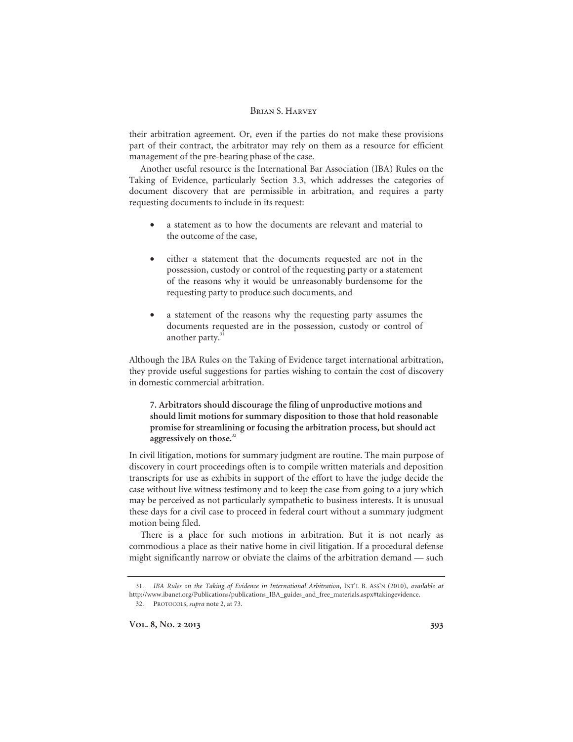their arbitration agreement. Or, even if the parties do not make these provisions part of their contract, the arbitrator may rely on them as a resource for efficient management of the pre-hearing phase of the case.

Another useful resource is the International Bar Association (IBA) Rules on the Taking of Evidence, particularly Section 3.3, which addresses the categories of document discovery that are permissible in arbitration, and requires a party requesting documents to include in its request:

- a statement as to how the documents are relevant and material to the outcome of the case,
- either a statement that the documents requested are not in the possession, custody or control of the requesting party or a statement of the reasons why it would be unreasonably burdensome for the requesting party to produce such documents, and
- a statement of the reasons why the requesting party assumes the documents requested are in the possession, custody or control of another party.<sup>31</sup>

Although the IBA Rules on the Taking of Evidence target international arbitration, they provide useful suggestions for parties wishing to contain the cost of discovery in domestic commercial arbitration.

**7. Arbitrators should discourage the filing of unproductive motions and should limit motions for summary disposition to those that hold reasonable promise for streamlining or focusing the arbitration process, but should act aggressively on those.**<sup>32</sup>

In civil litigation, motions for summary judgment are routine. The main purpose of discovery in court proceedings often is to compile written materials and deposition transcripts for use as exhibits in support of the effort to have the judge decide the case without live witness testimony and to keep the case from going to a jury which may be perceived as not particularly sympathetic to business interests. It is unusual these days for a civil case to proceed in federal court without a summary judgment motion being filed.

There is a place for such motions in arbitration. But it is not nearly as commodious a place as their native home in civil litigation. If a procedural defense might significantly narrow or obviate the claims of the arbitration demand — such

 <sup>31.</sup> *IBA Rules on the Taking of Evidence in International Arbitration*, INT'L B. ASS'N (2010), *available at*  http://www.ibanet.org/Publications/publications\_IBA\_guides\_and\_free\_materials.aspx#takingevidence.

 <sup>32.</sup> PROTOCOLS, *supra* note 2, at 73.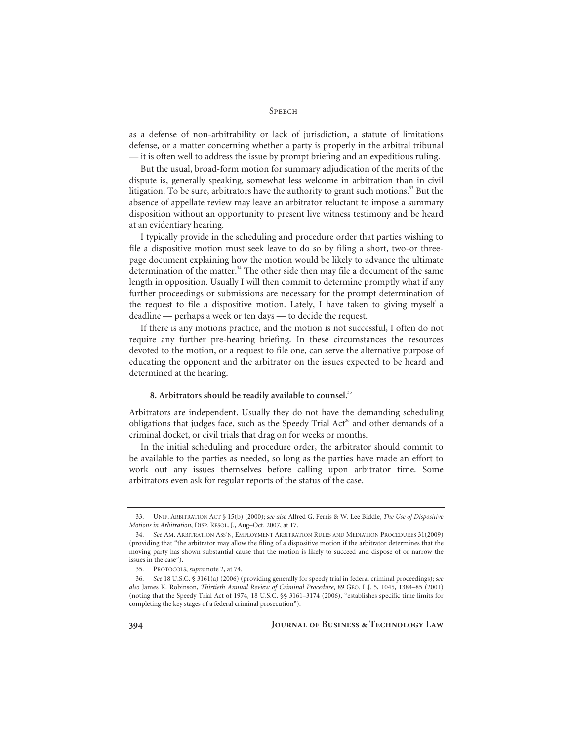as a defense of non-arbitrability or lack of jurisdiction, a statute of limitations defense, or a matter concerning whether a party is properly in the arbitral tribunal — it is often well to address the issue by prompt briefing and an expeditious ruling.

But the usual, broad-form motion for summary adjudication of the merits of the dispute is, generally speaking, somewhat less welcome in arbitration than in civil litigation. To be sure, arbitrators have the authority to grant such motions.<sup>33</sup> But the absence of appellate review may leave an arbitrator reluctant to impose a summary disposition without an opportunity to present live witness testimony and be heard at an evidentiary hearing.

I typically provide in the scheduling and procedure order that parties wishing to file a dispositive motion must seek leave to do so by filing a short, two-or threepage document explaining how the motion would be likely to advance the ultimate determination of the matter. $34$  The other side then may file a document of the same length in opposition. Usually I will then commit to determine promptly what if any further proceedings or submissions are necessary for the prompt determination of the request to file a dispositive motion. Lately, I have taken to giving myself a deadline — perhaps a week or ten days — to decide the request.

If there is any motions practice, and the motion is not successful, I often do not require any further pre-hearing briefing. In these circumstances the resources devoted to the motion, or a request to file one, can serve the alternative purpose of educating the opponent and the arbitrator on the issues expected to be heard and determined at the hearing.

## **8. Arbitrators should be readily available to counsel.**<sup>35</sup>

Arbitrators are independent. Usually they do not have the demanding scheduling obligations that judges face, such as the Speedy Trial Act<sup>36</sup> and other demands of a criminal docket, or civil trials that drag on for weeks or months.

In the initial scheduling and procedure order, the arbitrator should commit to be available to the parties as needed, so long as the parties have made an effort to work out any issues themselves before calling upon arbitrator time. Some arbitrators even ask for regular reports of the status of the case.

 <sup>33.</sup> UNIF. ARBITRATION ACT § 15(b) (2000); *see also* Alfred G. Ferris & W. Lee Biddle, *The Use of Dispositive Motions in Arbitration*, DISP. RESOL. J., Aug–Oct. 2007, at 17.

 <sup>34.</sup> *See* AM. ARBITRATION ASS'N, EMPLOYMENT ARBITRATION RULES AND MEDIATION PROCEDURES 31(2009) (providing that "the arbitrator may allow the filing of a dispositive motion if the arbitrator determines that the moving party has shown substantial cause that the motion is likely to succeed and dispose of or narrow the issues in the case").

 <sup>35.</sup> PROTOCOLS, *supra* note 2, at 74.

 <sup>36.</sup> *See* 18 U.S.C. § 3161(a) (2006) (providing generally for speedy trial in federal criminal proceedings); *see also* James K. Robinson, *Thirtieth Annual Review of Criminal Procedure*, 89 GEO. L.J. 5, 1045, 1384–85 (2001) (noting that the Speedy Trial Act of 1974, 18 U.S.C. §§ 3161–3174 (2006), "establishes specific time limits for completing the key stages of a federal criminal prosecution").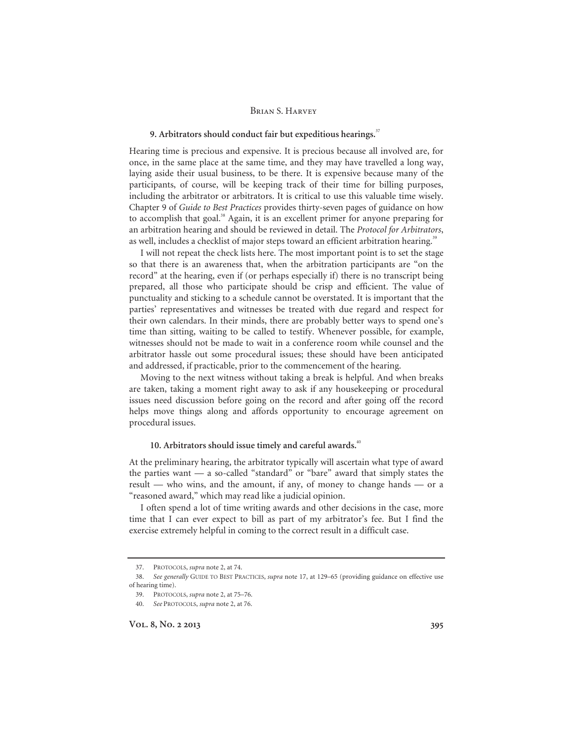## **9. Arbitrators should conduct fair but expeditious hearings.**<sup>37</sup>

Hearing time is precious and expensive. It is precious because all involved are, for once, in the same place at the same time, and they may have travelled a long way, laying aside their usual business, to be there. It is expensive because many of the participants, of course, will be keeping track of their time for billing purposes, including the arbitrator or arbitrators. It is critical to use this valuable time wisely. Chapter 9 of *Guide to Best Practices* provides thirty-seven pages of guidance on how to accomplish that goal.<sup>38</sup> Again, it is an excellent primer for anyone preparing for an arbitration hearing and should be reviewed in detail. The *Protocol for Arbitrators*, as well, includes a checklist of major steps toward an efficient arbitration hearing.<sup>39</sup>

I will not repeat the check lists here. The most important point is to set the stage so that there is an awareness that, when the arbitration participants are "on the record" at the hearing, even if (or perhaps especially if) there is no transcript being prepared, all those who participate should be crisp and efficient. The value of punctuality and sticking to a schedule cannot be overstated. It is important that the parties' representatives and witnesses be treated with due regard and respect for their own calendars. In their minds, there are probably better ways to spend one's time than sitting, waiting to be called to testify. Whenever possible, for example, witnesses should not be made to wait in a conference room while counsel and the arbitrator hassle out some procedural issues; these should have been anticipated and addressed, if practicable, prior to the commencement of the hearing.

Moving to the next witness without taking a break is helpful. And when breaks are taken, taking a moment right away to ask if any housekeeping or procedural issues need discussion before going on the record and after going off the record helps move things along and affords opportunity to encourage agreement on procedural issues.

# **10. Arbitrators should issue timely and careful awards.**<sup>40</sup>

At the preliminary hearing, the arbitrator typically will ascertain what type of award the parties want — a so-called "standard" or "bare" award that simply states the result — who wins, and the amount, if any, of money to change hands — or a "reasoned award," which may read like a judicial opinion.

I often spend a lot of time writing awards and other decisions in the case, more time that I can ever expect to bill as part of my arbitrator's fee. But I find the exercise extremely helpful in coming to the correct result in a difficult case.

 <sup>37.</sup> PROTOCOLS, *supra* note 2, at 74.

 <sup>38.</sup> *See generally* GUIDE TO BEST PRACTICES, *supra* note 17, at 129–65 (providing guidance on effective use of hearing time).

 <sup>39.</sup> PROTOCOLS, *supra* note 2, at 75–76.

 <sup>40.</sup> *See* PROTOCOLS, *supra* note 2, at 76.